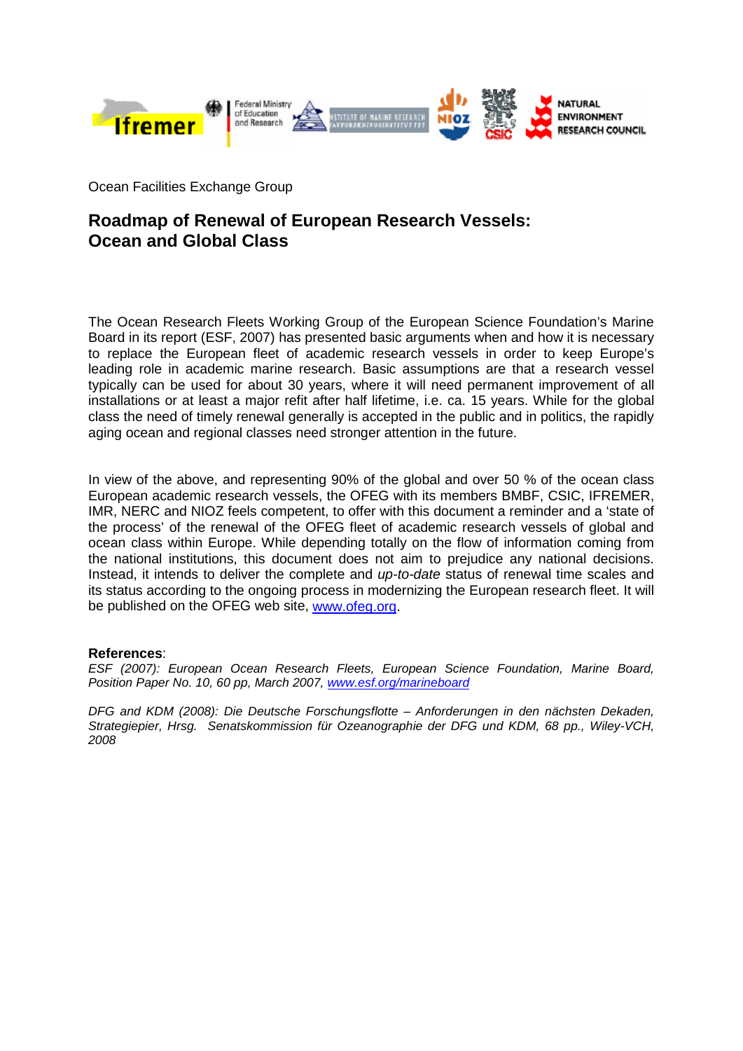

Ocean Facilities Exchange Group

## **Roadmap of Renewal of European Research Vessels: Ocean and Global Class**

The Ocean Research Fleets Working Group of the European Science Foundation's Marine Board in its report (ESF, 2007) has presented basic arguments when and how it is necessary to replace the European fleet of academic research vessels in order to keep Europe's leading role in academic marine research. Basic assumptions are that a research vessel typically can be used for about 30 years, where it will need permanent improvement of all installations or at least a major refit after half lifetime, i.e. ca. 15 years. While for the global class the need of timely renewal generally is accepted in the public and in politics, the rapidly aging ocean and regional classes need stronger attention in the future.

In view of the above, and representing 90% of the global and over 50 % of the ocean class European academic research vessels, the OFEG with its members BMBF, CSIC, IFREMER, IMR, NERC and NIOZ feels competent, to offer with this document a reminder and a 'state of the process' of the renewal of the OFEG fleet of academic research vessels of global and ocean class within Europe. While depending totally on the flow of information coming from the national institutions, this document does not aim to prejudice any national decisions. Instead, it intends to deliver the complete and *up-to-date* status of renewal time scales and its status according to the ongoing process in modernizing the European research fleet. It will be published on the OFEG web site, [www.ofeg.org.](http://www.ofeg.org/)

## **References**:

*ESF (2007): European Ocean Research Fleets, European Science Foundation, Marine Board, Position Paper No. 10, 60 pp, March 2007, [www.esf.org/marineboard](http://www.esf.org/marineboard)*

*DFG and KDM (2008): Die Deutsche Forschungsflotte – Anforderungen in den nächsten Dekaden, Strategiepier, Hrsg. Senatskommission für Ozeanographie der DFG und KDM, 68 pp., Wiley-VCH, 2008*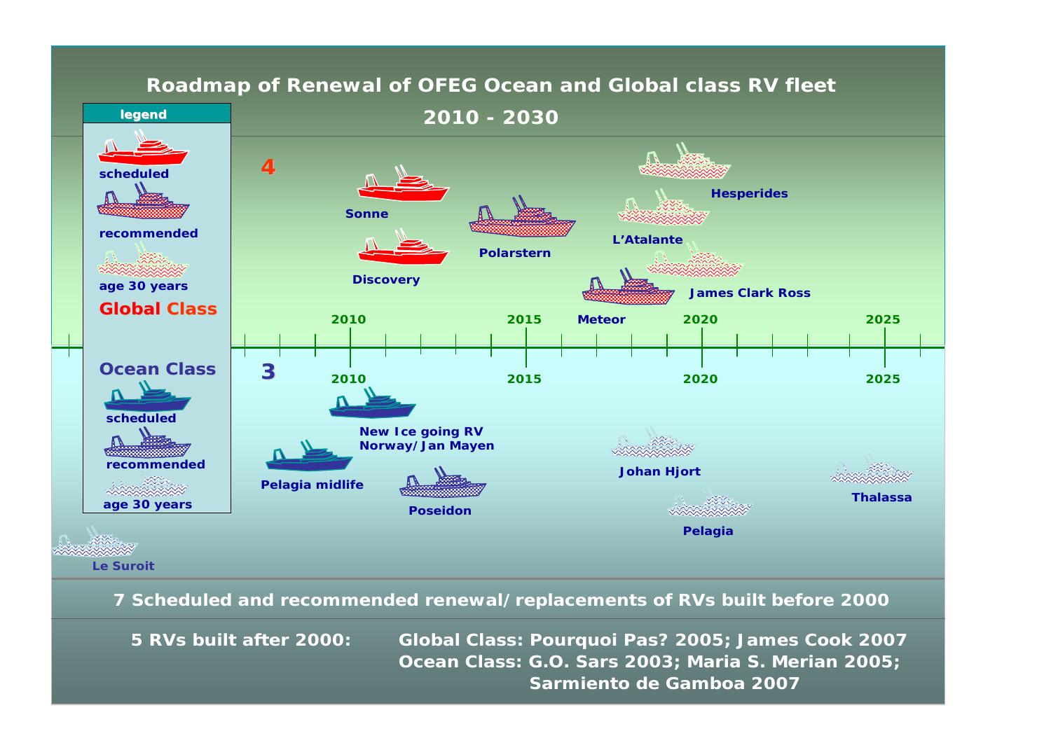

**5 RVs built after 2000: Global Class: Pourquoi Pas? 2005; James Cook 2007 Ocean Class: G.O. Sars 2003; Maria S. Merian 2005; Sarmiento de Gamboa 2007**